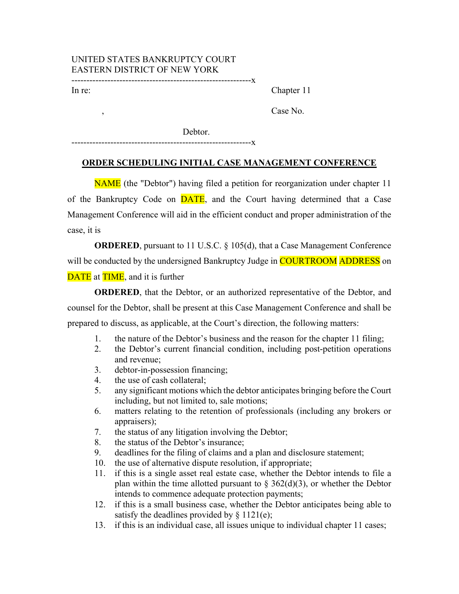## UNITED STATES BANKRUPTCY COURT EASTERN DISTRICT OF NEW YORK ------------------------------------------------------------x

In re:

,

Chapter 11

Case No.

Debtor.

------------------------------------------------------------x

## **ORDER SCHEDULING INITIAL CASE MANAGEMENT CONFERENCE**

NAME (the "Debtor") having filed a petition for reorganization under chapter 11 of the Bankruptcy Code on **DATE**, and the Court having determined that a Case Management Conference will aid in the efficient conduct and proper administration of the case, it is

**ORDERED**, pursuant to 11 U.S.C. § 105(d), that a Case Management Conference will be conducted by the undersigned Bankruptcy Judge in **COURTROOM** ADDRESS on **DATE** at **TIME**, and it is further

**ORDERED**, that the Debtor, or an authorized representative of the Debtor, and counsel for the Debtor, shall be present at this Case Management Conference and shall be prepared to discuss, as applicable, at the Court's direction, the following matters:

- 1. the nature of the Debtor's business and the reason for the chapter 11 filing;
- 2. the Debtor's current financial condition, including post-petition operations and revenue;
- 3. debtor-in-possession financing;
- 4. the use of cash collateral;
- 5. any significant motions which the debtor anticipates bringing before the Court including, but not limited to, sale motions;
- 6. matters relating to the retention of professionals (including any brokers or appraisers);
- 7. the status of any litigation involving the Debtor;
- 8. the status of the Debtor's insurance;
- 9. deadlines for the filing of claims and a plan and disclosure statement;
- 10. the use of alternative dispute resolution, if appropriate;
- 11. if this is a single asset real estate case, whether the Debtor intends to file a plan within the time allotted pursuant to  $\S$  362(d)(3), or whether the Debtor intends to commence adequate protection payments;
- 12. if this is a small business case, whether the Debtor anticipates being able to satisfy the deadlines provided by  $\S 1121(e)$ ;
- 13. if this is an individual case, all issues unique to individual chapter 11 cases;